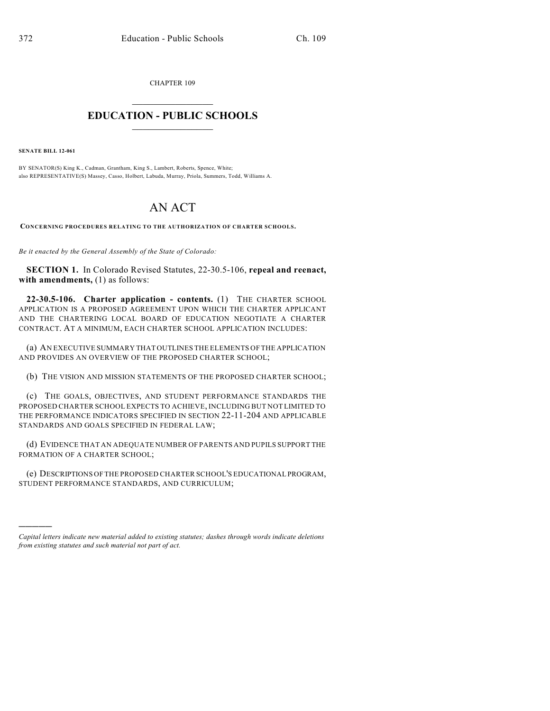CHAPTER 109

## $\mathcal{L}_\text{max}$  . The set of the set of the set of the set of the set of the set of the set of the set of the set of the set of the set of the set of the set of the set of the set of the set of the set of the set of the set **EDUCATION - PUBLIC SCHOOLS**  $\_$   $\_$   $\_$   $\_$   $\_$   $\_$   $\_$   $\_$   $\_$

**SENATE BILL 12-061**

)))))

BY SENATOR(S) King K., Cadman, Grantham, King S., Lambert, Roberts, Spence, White; also REPRESENTATIVE(S) Massey, Casso, Holbert, Labuda, Murray, Priola, Summers, Todd, Williams A.

## AN ACT

**CONCERNING PROCEDURES RELATING TO THE AUTHORIZATION OF CHARTER SCHOOLS.**

*Be it enacted by the General Assembly of the State of Colorado:*

**SECTION 1.** In Colorado Revised Statutes, 22-30.5-106, **repeal and reenact, with amendments,** (1) as follows:

**22-30.5-106. Charter application - contents.** (1) THE CHARTER SCHOOL APPLICATION IS A PROPOSED AGREEMENT UPON WHICH THE CHARTER APPLICANT AND THE CHARTERING LOCAL BOARD OF EDUCATION NEGOTIATE A CHARTER CONTRACT. AT A MINIMUM, EACH CHARTER SCHOOL APPLICATION INCLUDES:

(a) AN EXECUTIVE SUMMARY THAT OUTLINES THE ELEMENTS OF THE APPLICATION AND PROVIDES AN OVERVIEW OF THE PROPOSED CHARTER SCHOOL;

(b) THE VISION AND MISSION STATEMENTS OF THE PROPOSED CHARTER SCHOOL;

(c) THE GOALS, OBJECTIVES, AND STUDENT PERFORMANCE STANDARDS THE PROPOSED CHARTER SCHOOL EXPECTS TO ACHIEVE, INCLUDING BUT NOT LIMITED TO THE PERFORMANCE INDICATORS SPECIFIED IN SECTION 22-11-204 AND APPLICABLE STANDARDS AND GOALS SPECIFIED IN FEDERAL LAW;

(d) EVIDENCE THAT AN ADEQUATE NUMBER OF PARENTS AND PUPILS SUPPORT THE FORMATION OF A CHARTER SCHOOL;

(e) DESCRIPTIONS OF THE PROPOSED CHARTER SCHOOL'S EDUCATIONAL PROGRAM, STUDENT PERFORMANCE STANDARDS, AND CURRICULUM;

*Capital letters indicate new material added to existing statutes; dashes through words indicate deletions from existing statutes and such material not part of act.*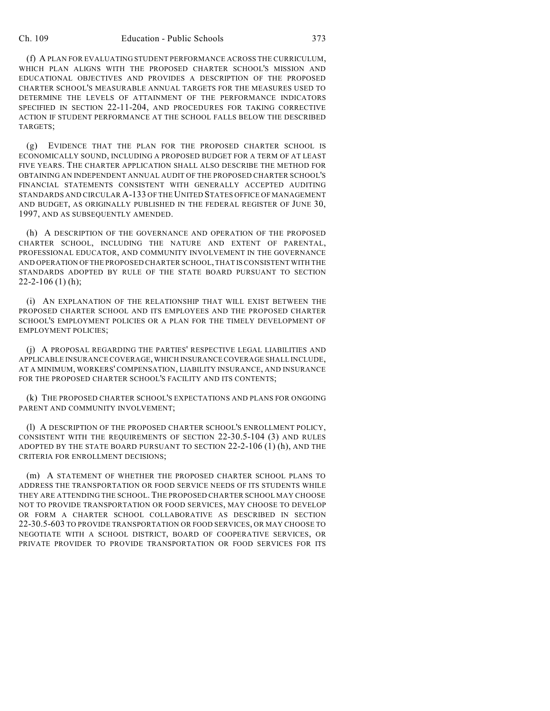(f) A PLAN FOR EVALUATING STUDENT PERFORMANCE ACROSS THE CURRICULUM, WHICH PLAN ALIGNS WITH THE PROPOSED CHARTER SCHOOL'S MISSION AND EDUCATIONAL OBJECTIVES AND PROVIDES A DESCRIPTION OF THE PROPOSED CHARTER SCHOOL'S MEASURABLE ANNUAL TARGETS FOR THE MEASURES USED TO DETERMINE THE LEVELS OF ATTAINMENT OF THE PERFORMANCE INDICATORS SPECIFIED IN SECTION 22-11-204, AND PROCEDURES FOR TAKING CORRECTIVE ACTION IF STUDENT PERFORMANCE AT THE SCHOOL FALLS BELOW THE DESCRIBED TARGETS;

(g) EVIDENCE THAT THE PLAN FOR THE PROPOSED CHARTER SCHOOL IS ECONOMICALLY SOUND, INCLUDING A PROPOSED BUDGET FOR A TERM OF AT LEAST FIVE YEARS. THE CHARTER APPLICATION SHALL ALSO DESCRIBE THE METHOD FOR OBTAINING AN INDEPENDENT ANNUAL AUDIT OF THE PROPOSED CHARTER SCHOOL'S FINANCIAL STATEMENTS CONSISTENT WITH GENERALLY ACCEPTED AUDITING STANDARDS AND CIRCULAR A-133 OF THE UNITED STATES OFFICE OF MANAGEMENT AND BUDGET, AS ORIGINALLY PUBLISHED IN THE FEDERAL REGISTER OF JUNE 30, 1997, AND AS SUBSEQUENTLY AMENDED.

(h) A DESCRIPTION OF THE GOVERNANCE AND OPERATION OF THE PROPOSED CHARTER SCHOOL, INCLUDING THE NATURE AND EXTENT OF PARENTAL, PROFESSIONAL EDUCATOR, AND COMMUNITY INVOLVEMENT IN THE GOVERNANCE AND OPERATION OFTHE PROPOSED CHARTER SCHOOL, THAT IS CONSISTENT WITH THE STANDARDS ADOPTED BY RULE OF THE STATE BOARD PURSUANT TO SECTION 22-2-106 (1) (h);

(i) AN EXPLANATION OF THE RELATIONSHIP THAT WILL EXIST BETWEEN THE PROPOSED CHARTER SCHOOL AND ITS EMPLOYEES AND THE PROPOSED CHARTER SCHOOL'S EMPLOYMENT POLICIES OR A PLAN FOR THE TIMELY DEVELOPMENT OF EMPLOYMENT POLICIES;

(j) A PROPOSAL REGARDING THE PARTIES' RESPECTIVE LEGAL LIABILITIES AND APPLICABLE INSURANCE COVERAGE, WHICH INSURANCE COVERAGE SHALL INCLUDE, AT A MINIMUM, WORKERS' COMPENSATION, LIABILITY INSURANCE, AND INSURANCE FOR THE PROPOSED CHARTER SCHOOL'S FACILITY AND ITS CONTENTS;

(k) THE PROPOSED CHARTER SCHOOL'S EXPECTATIONS AND PLANS FOR ONGOING PARENT AND COMMUNITY INVOLVEMENT;

(l) A DESCRIPTION OF THE PROPOSED CHARTER SCHOOL'S ENROLLMENT POLICY, CONSISTENT WITH THE REQUIREMENTS OF SECTION 22-30.5-104 (3) AND RULES ADOPTED BY THE STATE BOARD PURSUANT TO SECTION 22-2-106 (1) (h), AND THE CRITERIA FOR ENROLLMENT DECISIONS;

(m) A STATEMENT OF WHETHER THE PROPOSED CHARTER SCHOOL PLANS TO ADDRESS THE TRANSPORTATION OR FOOD SERVICE NEEDS OF ITS STUDENTS WHILE THEY ARE ATTENDING THE SCHOOL. THE PROPOSED CHARTER SCHOOL MAY CHOOSE NOT TO PROVIDE TRANSPORTATION OR FOOD SERVICES, MAY CHOOSE TO DEVELOP OR FORM A CHARTER SCHOOL COLLABORATIVE AS DESCRIBED IN SECTION 22-30.5-603 TO PROVIDE TRANSPORTATION OR FOOD SERVICES, OR MAY CHOOSE TO NEGOTIATE WITH A SCHOOL DISTRICT, BOARD OF COOPERATIVE SERVICES, OR PRIVATE PROVIDER TO PROVIDE TRANSPORTATION OR FOOD SERVICES FOR ITS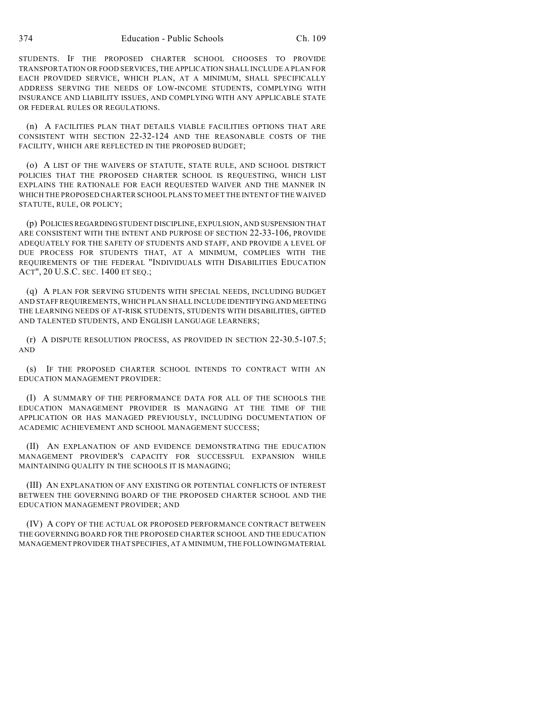STUDENTS. IF THE PROPOSED CHARTER SCHOOL CHOOSES TO PROVIDE TRANSPORTATION OR FOOD SERVICES, THE APPLICATION SHALL INCLUDE A PLAN FOR EACH PROVIDED SERVICE, WHICH PLAN, AT A MINIMUM, SHALL SPECIFICALLY ADDRESS SERVING THE NEEDS OF LOW-INCOME STUDENTS, COMPLYING WITH INSURANCE AND LIABILITY ISSUES, AND COMPLYING WITH ANY APPLICABLE STATE OR FEDERAL RULES OR REGULATIONS.

(n) A FACILITIES PLAN THAT DETAILS VIABLE FACILITIES OPTIONS THAT ARE CONSISTENT WITH SECTION 22-32-124 AND THE REASONABLE COSTS OF THE FACILITY, WHICH ARE REFLECTED IN THE PROPOSED BUDGET;

(o) A LIST OF THE WAIVERS OF STATUTE, STATE RULE, AND SCHOOL DISTRICT POLICIES THAT THE PROPOSED CHARTER SCHOOL IS REQUESTING, WHICH LIST EXPLAINS THE RATIONALE FOR EACH REQUESTED WAIVER AND THE MANNER IN WHICH THE PROPOSED CHARTER SCHOOL PLANS TO MEET THE INTENT OF THE WAIVED STATUTE, RULE, OR POLICY;

(p) POLICIESREGARDING STUDENT DISCIPLINE, EXPULSION, AND SUSPENSION THAT ARE CONSISTENT WITH THE INTENT AND PURPOSE OF SECTION 22-33-106, PROVIDE ADEQUATELY FOR THE SAFETY OF STUDENTS AND STAFF, AND PROVIDE A LEVEL OF DUE PROCESS FOR STUDENTS THAT, AT A MINIMUM, COMPLIES WITH THE REQUIREMENTS OF THE FEDERAL "INDIVIDUALS WITH DISABILITIES EDUCATION ACT", 20 U.S.C. SEC. 1400 ET SEQ.;

(q) A PLAN FOR SERVING STUDENTS WITH SPECIAL NEEDS, INCLUDING BUDGET AND STAFF REQUIREMENTS, WHICH PLAN SHALL INCLUDE IDENTIFYING AND MEETING THE LEARNING NEEDS OF AT-RISK STUDENTS, STUDENTS WITH DISABILITIES, GIFTED AND TALENTED STUDENTS, AND ENGLISH LANGUAGE LEARNERS;

(r) A DISPUTE RESOLUTION PROCESS, AS PROVIDED IN SECTION 22-30.5-107.5; AND

(s) IF THE PROPOSED CHARTER SCHOOL INTENDS TO CONTRACT WITH AN EDUCATION MANAGEMENT PROVIDER:

(I) A SUMMARY OF THE PERFORMANCE DATA FOR ALL OF THE SCHOOLS THE EDUCATION MANAGEMENT PROVIDER IS MANAGING AT THE TIME OF THE APPLICATION OR HAS MANAGED PREVIOUSLY, INCLUDING DOCUMENTATION OF ACADEMIC ACHIEVEMENT AND SCHOOL MANAGEMENT SUCCESS;

(II) AN EXPLANATION OF AND EVIDENCE DEMONSTRATING THE EDUCATION MANAGEMENT PROVIDER'S CAPACITY FOR SUCCESSFUL EXPANSION WHILE MAINTAINING QUALITY IN THE SCHOOLS IT IS MANAGING;

(III) AN EXPLANATION OF ANY EXISTING OR POTENTIAL CONFLICTS OF INTEREST BETWEEN THE GOVERNING BOARD OF THE PROPOSED CHARTER SCHOOL AND THE EDUCATION MANAGEMENT PROVIDER; AND

(IV) A COPY OF THE ACTUAL OR PROPOSED PERFORMANCE CONTRACT BETWEEN THE GOVERNING BOARD FOR THE PROPOSED CHARTER SCHOOL AND THE EDUCATION MANAGEMENT PROVIDER THAT SPECIFIES, AT A MINIMUM, THE FOLLOWINGMATERIAL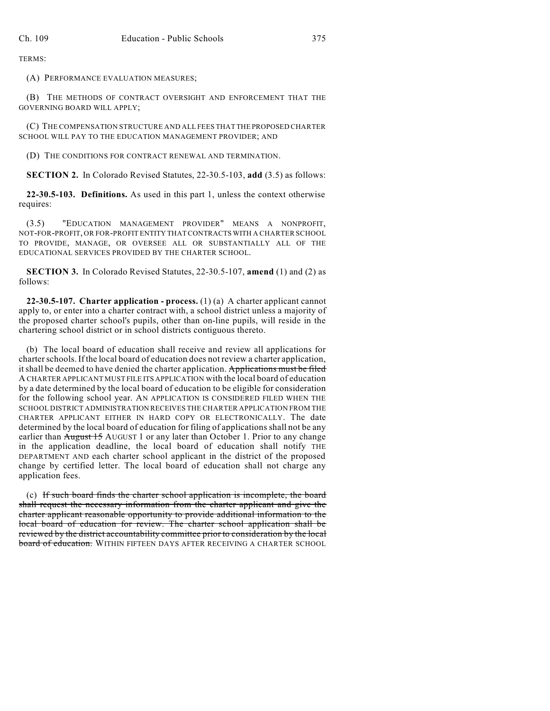TERMS:

(A) PERFORMANCE EVALUATION MEASURES;

(B) THE METHODS OF CONTRACT OVERSIGHT AND ENFORCEMENT THAT THE GOVERNING BOARD WILL APPLY;

(C) THE COMPENSATION STRUCTURE AND ALL FEES THAT THE PROPOSED CHARTER SCHOOL WILL PAY TO THE EDUCATION MANAGEMENT PROVIDER; AND

(D) THE CONDITIONS FOR CONTRACT RENEWAL AND TERMINATION.

**SECTION 2.** In Colorado Revised Statutes, 22-30.5-103, **add** (3.5) as follows:

**22-30.5-103. Definitions.** As used in this part 1, unless the context otherwise requires:

(3.5) "EDUCATION MANAGEMENT PROVIDER" MEANS A NONPROFIT, NOT-FOR-PROFIT, OR FOR-PROFIT ENTITY THAT CONTRACTS WITH A CHARTER SCHOOL TO PROVIDE, MANAGE, OR OVERSEE ALL OR SUBSTANTIALLY ALL OF THE EDUCATIONAL SERVICES PROVIDED BY THE CHARTER SCHOOL.

**SECTION 3.** In Colorado Revised Statutes, 22-30.5-107, **amend** (1) and (2) as follows:

**22-30.5-107. Charter application - process.** (1) (a) A charter applicant cannot apply to, or enter into a charter contract with, a school district unless a majority of the proposed charter school's pupils, other than on-line pupils, will reside in the chartering school district or in school districts contiguous thereto.

(b) The local board of education shall receive and review all applications for charter schools. If the local board of education does not review a charter application, it shall be deemed to have denied the charter application. Applications must be filed A CHARTER APPLICANT MUST FILE ITS APPLICATION with the local board of education by a date determined by the local board of education to be eligible for consideration for the following school year. AN APPLICATION IS CONSIDERED FILED WHEN THE SCHOOL DISTRICT ADMINISTRATION RECEIVES THE CHARTER APPLICATION FROM THE CHARTER APPLICANT EITHER IN HARD COPY OR ELECTRONICALLY. The date determined by the local board of education for filing of applications shall not be any earlier than August 15 AUGUST 1 or any later than October 1. Prior to any change in the application deadline, the local board of education shall notify THE DEPARTMENT AND each charter school applicant in the district of the proposed change by certified letter. The local board of education shall not charge any application fees.

(c) If such board finds the charter school application is incomplete, the board shall request the necessary information from the charter applicant and give the charter applicant reasonable opportunity to provide additional information to the local board of education for review. The charter school application shall be reviewed by the district accountability committee prior to consideration by the local board of education. WITHIN FIFTEEN DAYS AFTER RECEIVING A CHARTER SCHOOL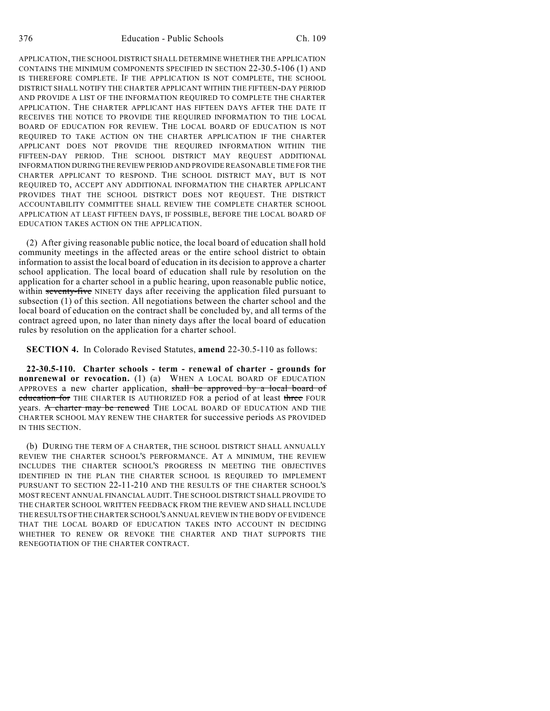APPLICATION, THE SCHOOL DISTRICT SHALL DETERMINE WHETHER THE APPLICATION CONTAINS THE MINIMUM COMPONENTS SPECIFIED IN SECTION 22-30.5-106 (1) AND IS THEREFORE COMPLETE. IF THE APPLICATION IS NOT COMPLETE, THE SCHOOL DISTRICT SHALL NOTIFY THE CHARTER APPLICANT WITHIN THE FIFTEEN-DAY PERIOD AND PROVIDE A LIST OF THE INFORMATION REQUIRED TO COMPLETE THE CHARTER APPLICATION. THE CHARTER APPLICANT HAS FIFTEEN DAYS AFTER THE DATE IT RECEIVES THE NOTICE TO PROVIDE THE REQUIRED INFORMATION TO THE LOCAL BOARD OF EDUCATION FOR REVIEW. THE LOCAL BOARD OF EDUCATION IS NOT REQUIRED TO TAKE ACTION ON THE CHARTER APPLICATION IF THE CHARTER APPLICANT DOES NOT PROVIDE THE REQUIRED INFORMATION WITHIN THE FIFTEEN-DAY PERIOD. THE SCHOOL DISTRICT MAY REQUEST ADDITIONAL INFORMATION DURINGTHE REVIEW PERIOD AND PROVIDE REASONABLE TIME FOR THE CHARTER APPLICANT TO RESPOND. THE SCHOOL DISTRICT MAY, BUT IS NOT REQUIRED TO, ACCEPT ANY ADDITIONAL INFORMATION THE CHARTER APPLICANT PROVIDES THAT THE SCHOOL DISTRICT DOES NOT REQUEST. THE DISTRICT ACCOUNTABILITY COMMITTEE SHALL REVIEW THE COMPLETE CHARTER SCHOOL APPLICATION AT LEAST FIFTEEN DAYS, IF POSSIBLE, BEFORE THE LOCAL BOARD OF EDUCATION TAKES ACTION ON THE APPLICATION.

(2) After giving reasonable public notice, the local board of education shall hold community meetings in the affected areas or the entire school district to obtain information to assist the local board of education in its decision to approve a charter school application. The local board of education shall rule by resolution on the application for a charter school in a public hearing, upon reasonable public notice, within seventy-five NINETY days after receiving the application filed pursuant to subsection (1) of this section. All negotiations between the charter school and the local board of education on the contract shall be concluded by, and all terms of the contract agreed upon, no later than ninety days after the local board of education rules by resolution on the application for a charter school.

**SECTION 4.** In Colorado Revised Statutes, **amend** 22-30.5-110 as follows:

**22-30.5-110. Charter schools - term - renewal of charter - grounds for nonrenewal or revocation.** (1) (a) WHEN A LOCAL BOARD OF EDUCATION APPROVES a new charter application, shall be approved by a local board of education for THE CHARTER IS AUTHORIZED FOR a period of at least three FOUR years. A charter may be renewed THE LOCAL BOARD OF EDUCATION AND THE CHARTER SCHOOL MAY RENEW THE CHARTER for successive periods AS PROVIDED IN THIS SECTION.

(b) DURING THE TERM OF A CHARTER, THE SCHOOL DISTRICT SHALL ANNUALLY REVIEW THE CHARTER SCHOOL'S PERFORMANCE. AT A MINIMUM, THE REVIEW INCLUDES THE CHARTER SCHOOL'S PROGRESS IN MEETING THE OBJECTIVES IDENTIFIED IN THE PLAN THE CHARTER SCHOOL IS REQUIRED TO IMPLEMENT PURSUANT TO SECTION 22-11-210 AND THE RESULTS OF THE CHARTER SCHOOL'S MOST RECENT ANNUAL FINANCIAL AUDIT. THE SCHOOL DISTRICT SHALL PROVIDE TO THE CHARTER SCHOOL WRITTEN FEEDBACK FROM THE REVIEW AND SHALL INCLUDE THE RESULTS OFTHE CHARTER SCHOOL'S ANNUALREVIEW IN THE BODY OF EVIDENCE THAT THE LOCAL BOARD OF EDUCATION TAKES INTO ACCOUNT IN DECIDING WHETHER TO RENEW OR REVOKE THE CHARTER AND THAT SUPPORTS THE RENEGOTIATION OF THE CHARTER CONTRACT.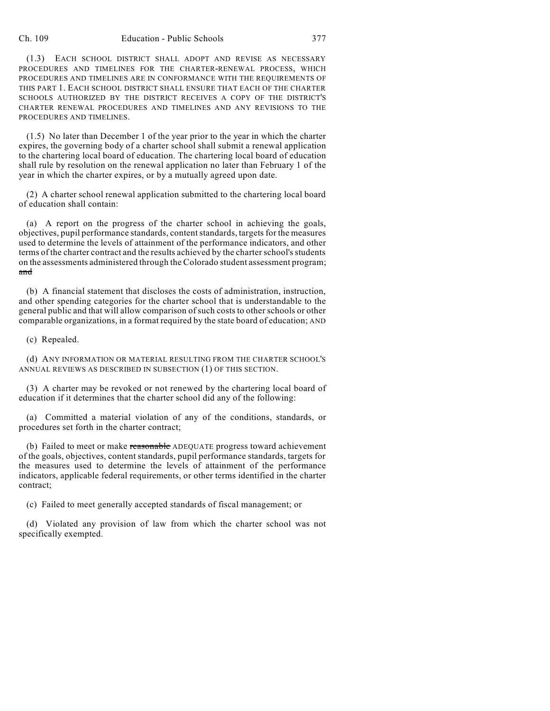(1.3) EACH SCHOOL DISTRICT SHALL ADOPT AND REVISE AS NECESSARY PROCEDURES AND TIMELINES FOR THE CHARTER-RENEWAL PROCESS, WHICH PROCEDURES AND TIMELINES ARE IN CONFORMANCE WITH THE REQUIREMENTS OF THIS PART 1. EACH SCHOOL DISTRICT SHALL ENSURE THAT EACH OF THE CHARTER SCHOOLS AUTHORIZED BY THE DISTRICT RECEIVES A COPY OF THE DISTRICT'S CHARTER RENEWAL PROCEDURES AND TIMELINES AND ANY REVISIONS TO THE PROCEDURES AND TIMELINES.

(1.5) No later than December 1 of the year prior to the year in which the charter expires, the governing body of a charter school shall submit a renewal application to the chartering local board of education. The chartering local board of education shall rule by resolution on the renewal application no later than February 1 of the year in which the charter expires, or by a mutually agreed upon date.

(2) A charter school renewal application submitted to the chartering local board of education shall contain:

(a) A report on the progress of the charter school in achieving the goals, objectives, pupil performance standards, contentstandards, targets for the measures used to determine the levels of attainment of the performance indicators, and other terms of the charter contract and the results achieved by the charter school's students on the assessments administered through the Colorado student assessment program; and

(b) A financial statement that discloses the costs of administration, instruction, and other spending categories for the charter school that is understandable to the general public and that will allow comparison of such costs to other schools or other comparable organizations, in a format required by the state board of education; AND

(c) Repealed.

(d) ANY INFORMATION OR MATERIAL RESULTING FROM THE CHARTER SCHOOL'S ANNUAL REVIEWS AS DESCRIBED IN SUBSECTION (1) OF THIS SECTION.

(3) A charter may be revoked or not renewed by the chartering local board of education if it determines that the charter school did any of the following:

(a) Committed a material violation of any of the conditions, standards, or procedures set forth in the charter contract;

(b) Failed to meet or make reasonable ADEQUATE progress toward achievement of the goals, objectives, content standards, pupil performance standards, targets for the measures used to determine the levels of attainment of the performance indicators, applicable federal requirements, or other terms identified in the charter contract;

(c) Failed to meet generally accepted standards of fiscal management; or

(d) Violated any provision of law from which the charter school was not specifically exempted.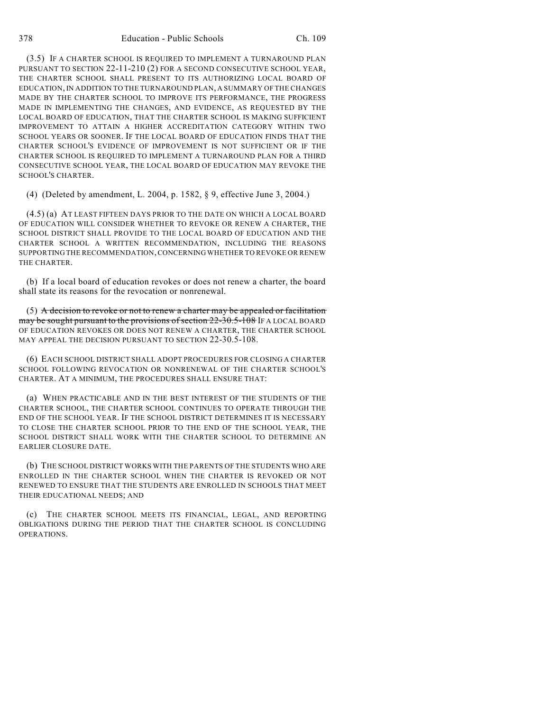(3.5) IF A CHARTER SCHOOL IS REQUIRED TO IMPLEMENT A TURNAROUND PLAN PURSUANT TO SECTION 22-11-210 (2) FOR A SECOND CONSECUTIVE SCHOOL YEAR, THE CHARTER SCHOOL SHALL PRESENT TO ITS AUTHORIZING LOCAL BOARD OF EDUCATION, IN ADDITION TO THE TURNAROUND PLAN, A SUMMARY OF THE CHANGES MADE BY THE CHARTER SCHOOL TO IMPROVE ITS PERFORMANCE, THE PROGRESS MADE IN IMPLEMENTING THE CHANGES, AND EVIDENCE, AS REQUESTED BY THE LOCAL BOARD OF EDUCATION, THAT THE CHARTER SCHOOL IS MAKING SUFFICIENT IMPROVEMENT TO ATTAIN A HIGHER ACCREDITATION CATEGORY WITHIN TWO SCHOOL YEARS OR SOONER. IF THE LOCAL BOARD OF EDUCATION FINDS THAT THE CHARTER SCHOOL'S EVIDENCE OF IMPROVEMENT IS NOT SUFFICIENT OR IF THE CHARTER SCHOOL IS REQUIRED TO IMPLEMENT A TURNAROUND PLAN FOR A THIRD CONSECUTIVE SCHOOL YEAR, THE LOCAL BOARD OF EDUCATION MAY REVOKE THE SCHOOL'S CHARTER.

(4) (Deleted by amendment, L. 2004, p. 1582, § 9, effective June 3, 2004.)

(4.5) (a) AT LEAST FIFTEEN DAYS PRIOR TO THE DATE ON WHICH A LOCAL BOARD OF EDUCATION WILL CONSIDER WHETHER TO REVOKE OR RENEW A CHARTER, THE SCHOOL DISTRICT SHALL PROVIDE TO THE LOCAL BOARD OF EDUCATION AND THE CHARTER SCHOOL A WRITTEN RECOMMENDATION, INCLUDING THE REASONS SUPPORTING THE RECOMMENDATION,CONCERNING WHETHER TO REVOKE OR RENEW THE CHARTER.

(b) If a local board of education revokes or does not renew a charter, the board shall state its reasons for the revocation or nonrenewal.

(5) A decision to revoke or not to renew a charter may be appealed or facilitation may be sought pursuant to the provisions of section 22-30.5-108 IF A LOCAL BOARD OF EDUCATION REVOKES OR DOES NOT RENEW A CHARTER, THE CHARTER SCHOOL MAY APPEAL THE DECISION PURSUANT TO SECTION 22-30.5-108.

(6) EACH SCHOOL DISTRICT SHALL ADOPT PROCEDURES FOR CLOSING A CHARTER SCHOOL FOLLOWING REVOCATION OR NONRENEWAL OF THE CHARTER SCHOOL'S CHARTER. AT A MINIMUM, THE PROCEDURES SHALL ENSURE THAT:

(a) WHEN PRACTICABLE AND IN THE BEST INTEREST OF THE STUDENTS OF THE CHARTER SCHOOL, THE CHARTER SCHOOL CONTINUES TO OPERATE THROUGH THE END OF THE SCHOOL YEAR. IF THE SCHOOL DISTRICT DETERMINES IT IS NECESSARY TO CLOSE THE CHARTER SCHOOL PRIOR TO THE END OF THE SCHOOL YEAR, THE SCHOOL DISTRICT SHALL WORK WITH THE CHARTER SCHOOL TO DETERMINE AN EARLIER CLOSURE DATE.

(b) THE SCHOOL DISTRICT WORKS WITH THE PARENTS OF THE STUDENTS WHO ARE ENROLLED IN THE CHARTER SCHOOL WHEN THE CHARTER IS REVOKED OR NOT RENEWED TO ENSURE THAT THE STUDENTS ARE ENROLLED IN SCHOOLS THAT MEET THEIR EDUCATIONAL NEEDS; AND

(c) THE CHARTER SCHOOL MEETS ITS FINANCIAL, LEGAL, AND REPORTING OBLIGATIONS DURING THE PERIOD THAT THE CHARTER SCHOOL IS CONCLUDING OPERATIONS.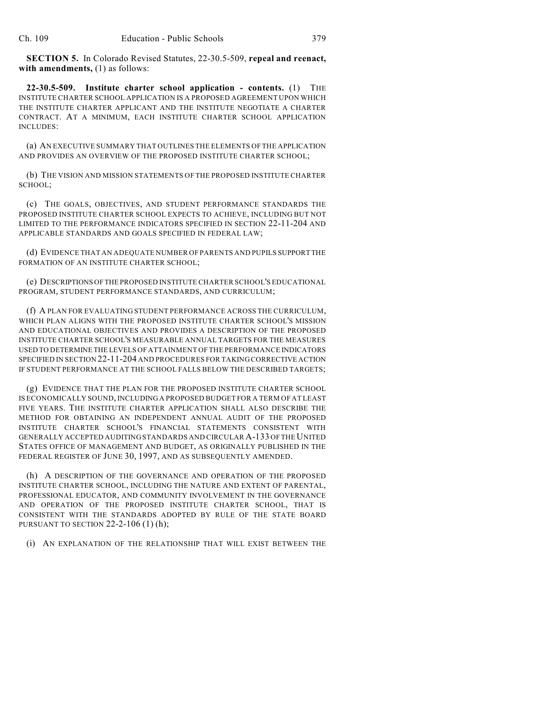**SECTION 5.** In Colorado Revised Statutes, 22-30.5-509, **repeal and reenact, with amendments,** (1) as follows:

**22-30.5-509. Institute charter school application - contents.** (1) THE INSTITUTE CHARTER SCHOOL APPLICATION IS A PROPOSED AGREEMENT UPON WHICH THE INSTITUTE CHARTER APPLICANT AND THE INSTITUTE NEGOTIATE A CHARTER CONTRACT. AT A MINIMUM, EACH INSTITUTE CHARTER SCHOOL APPLICATION INCLUDES:

(a) AN EXECUTIVE SUMMARY THAT OUTLINES THE ELEMENTS OF THE APPLICATION AND PROVIDES AN OVERVIEW OF THE PROPOSED INSTITUTE CHARTER SCHOOL;

(b) THE VISION AND MISSION STATEMENTS OF THE PROPOSED INSTITUTE CHARTER SCHOOL;

(c) THE GOALS, OBJECTIVES, AND STUDENT PERFORMANCE STANDARDS THE PROPOSED INSTITUTE CHARTER SCHOOL EXPECTS TO ACHIEVE, INCLUDING BUT NOT LIMITED TO THE PERFORMANCE INDICATORS SPECIFIED IN SECTION 22-11-204 AND APPLICABLE STANDARDS AND GOALS SPECIFIED IN FEDERAL LAW;

(d) EVIDENCE THAT AN ADEQUATE NUMBER OF PARENTS AND PUPILS SUPPORT THE FORMATION OF AN INSTITUTE CHARTER SCHOOL;

(e) DESCRIPTIONS OFTHE PROPOSED INSTITUTE CHARTER SCHOOL'S EDUCATIONAL PROGRAM, STUDENT PERFORMANCE STANDARDS, AND CURRICULUM;

(f) A PLAN FOR EVALUATING STUDENT PERFORMANCE ACROSS THE CURRICULUM, WHICH PLAN ALIGNS WITH THE PROPOSED INSTITUTE CHARTER SCHOOL'S MISSION AND EDUCATIONAL OBJECTIVES AND PROVIDES A DESCRIPTION OF THE PROPOSED INSTITUTE CHARTER SCHOOL'S MEASURABLE ANNUAL TARGETS FOR THE MEASURES USED TO DETERMINE THE LEVELS OF ATTAINMENT OF THE PERFORMANCE INDICATORS SPECIFIED IN SECTION 22-11-204 AND PROCEDURES FOR TAKING CORRECTIVE ACTION IF STUDENT PERFORMANCE AT THE SCHOOL FALLS BELOW THE DESCRIBED TARGETS;

(g) EVIDENCE THAT THE PLAN FOR THE PROPOSED INSTITUTE CHARTER SCHOOL IS ECONOMICALLY SOUND, INCLUDING A PROPOSED BUDGET FOR A TERM OF AT LEAST FIVE YEARS. THE INSTITUTE CHARTER APPLICATION SHALL ALSO DESCRIBE THE METHOD FOR OBTAINING AN INDEPENDENT ANNUAL AUDIT OF THE PROPOSED INSTITUTE CHARTER SCHOOL'S FINANCIAL STATEMENTS CONSISTENT WITH GENERALLY ACCEPTED AUDITING STANDARDS AND CIRCULAR A-133 OFTHE UNITED STATES OFFICE OF MANAGEMENT AND BUDGET, AS ORIGINALLY PUBLISHED IN THE FEDERAL REGISTER OF JUNE 30, 1997, AND AS SUBSEQUENTLY AMENDED.

(h) A DESCRIPTION OF THE GOVERNANCE AND OPERATION OF THE PROPOSED INSTITUTE CHARTER SCHOOL, INCLUDING THE NATURE AND EXTENT OF PARENTAL, PROFESSIONAL EDUCATOR, AND COMMUNITY INVOLVEMENT IN THE GOVERNANCE AND OPERATION OF THE PROPOSED INSTITUTE CHARTER SCHOOL, THAT IS CONSISTENT WITH THE STANDARDS ADOPTED BY RULE OF THE STATE BOARD PURSUANT TO SECTION 22-2-106 (1) (h);

(i) AN EXPLANATION OF THE RELATIONSHIP THAT WILL EXIST BETWEEN THE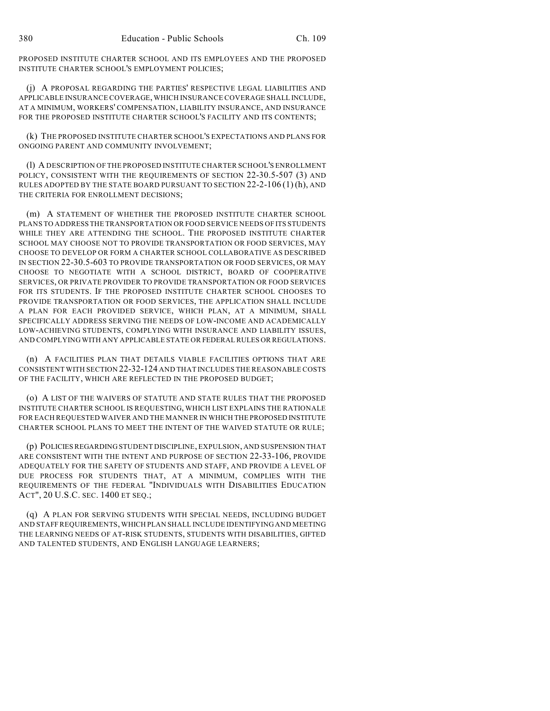PROPOSED INSTITUTE CHARTER SCHOOL AND ITS EMPLOYEES AND THE PROPOSED INSTITUTE CHARTER SCHOOL'S EMPLOYMENT POLICIES;

(j) A PROPOSAL REGARDING THE PARTIES' RESPECTIVE LEGAL LIABILITIES AND APPLICABLE INSURANCE COVERAGE, WHICH INSURANCE COVERAGE SHALL INCLUDE, AT A MINIMUM, WORKERS' COMPENSATION, LIABILITY INSURANCE, AND INSURANCE FOR THE PROPOSED INSTITUTE CHARTER SCHOOL'S FACILITY AND ITS CONTENTS;

(k) THE PROPOSED INSTITUTE CHARTER SCHOOL'S EXPECTATIONS AND PLANS FOR ONGOING PARENT AND COMMUNITY INVOLVEMENT;

(l) A DESCRIPTION OF THE PROPOSED INSTITUTE CHARTER SCHOOL'S ENROLLMENT POLICY, CONSISTENT WITH THE REQUIREMENTS OF SECTION 22-30.5-507 (3) AND RULES ADOPTED BY THE STATE BOARD PURSUANT TO SECTION 22-2-106 (1)(h), AND THE CRITERIA FOR ENROLLMENT DECISIONS;

(m) A STATEMENT OF WHETHER THE PROPOSED INSTITUTE CHARTER SCHOOL PLANS TO ADDRESS THE TRANSPORTATION OR FOOD SERVICE NEEDS OF ITS STUDENTS WHILE THEY ARE ATTENDING THE SCHOOL. THE PROPOSED INSTITUTE CHARTER SCHOOL MAY CHOOSE NOT TO PROVIDE TRANSPORTATION OR FOOD SERVICES, MAY CHOOSE TO DEVELOP OR FORM A CHARTER SCHOOL COLLABORATIVE AS DESCRIBED IN SECTION 22-30.5-603 TO PROVIDE TRANSPORTATION OR FOOD SERVICES, OR MAY CHOOSE TO NEGOTIATE WITH A SCHOOL DISTRICT, BOARD OF COOPERATIVE SERVICES, OR PRIVATE PROVIDER TO PROVIDE TRANSPORTATION OR FOOD SERVICES FOR ITS STUDENTS. IF THE PROPOSED INSTITUTE CHARTER SCHOOL CHOOSES TO PROVIDE TRANSPORTATION OR FOOD SERVICES, THE APPLICATION SHALL INCLUDE A PLAN FOR EACH PROVIDED SERVICE, WHICH PLAN, AT A MINIMUM, SHALL SPECIFICALLY ADDRESS SERVING THE NEEDS OF LOW-INCOME AND ACADEMICALLY LOW-ACHIEVING STUDENTS, COMPLYING WITH INSURANCE AND LIABILITY ISSUES, AND COMPLYING WITH ANY APPLICABLE STATE OR FEDERAL RULES OR REGULATIONS.

(n) A FACILITIES PLAN THAT DETAILS VIABLE FACILITIES OPTIONS THAT ARE CONSISTENT WITH SECTION 22-32-124 AND THAT INCLUDES THE REASONABLE COSTS OF THE FACILITY, WHICH ARE REFLECTED IN THE PROPOSED BUDGET;

(o) A LIST OF THE WAIVERS OF STATUTE AND STATE RULES THAT THE PROPOSED INSTITUTE CHARTER SCHOOL IS REQUESTING, WHICH LIST EXPLAINS THE RATIONALE FOR EACH REQUESTED WAIVER AND THE MANNER IN WHICH THE PROPOSED INSTITUTE CHARTER SCHOOL PLANS TO MEET THE INTENT OF THE WAIVED STATUTE OR RULE;

(p) POLICIESREGARDING STUDENT DISCIPLINE, EXPULSION, AND SUSPENSION THAT ARE CONSISTENT WITH THE INTENT AND PURPOSE OF SECTION 22-33-106, PROVIDE ADEQUATELY FOR THE SAFETY OF STUDENTS AND STAFF, AND PROVIDE A LEVEL OF DUE PROCESS FOR STUDENTS THAT, AT A MINIMUM, COMPLIES WITH THE REQUIREMENTS OF THE FEDERAL "INDIVIDUALS WITH DISABILITIES EDUCATION ACT", 20 U.S.C. SEC. 1400 ET SEQ.;

(q) A PLAN FOR SERVING STUDENTS WITH SPECIAL NEEDS, INCLUDING BUDGET AND STAFF REQUIREMENTS, WHICH PLAN SHALL INCLUDE IDENTIFYING AND MEETING THE LEARNING NEEDS OF AT-RISK STUDENTS, STUDENTS WITH DISABILITIES, GIFTED AND TALENTED STUDENTS, AND ENGLISH LANGUAGE LEARNERS;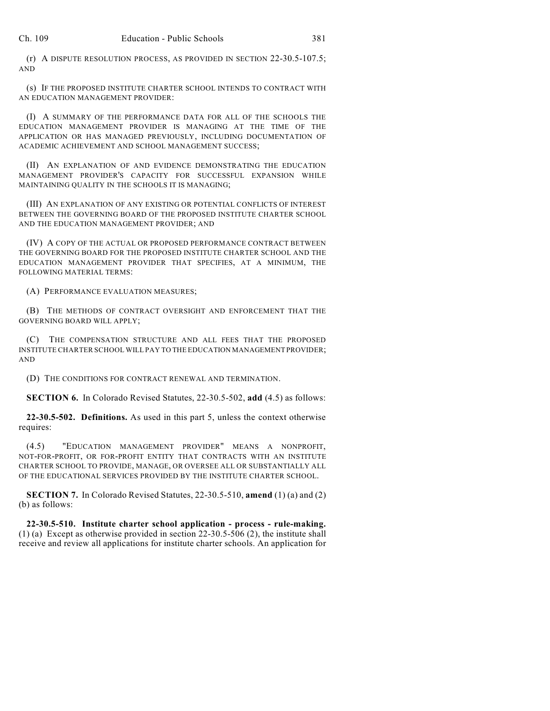(r) A DISPUTE RESOLUTION PROCESS, AS PROVIDED IN SECTION 22-30.5-107.5; AND

(s) IF THE PROPOSED INSTITUTE CHARTER SCHOOL INTENDS TO CONTRACT WITH AN EDUCATION MANAGEMENT PROVIDER:

(I) A SUMMARY OF THE PERFORMANCE DATA FOR ALL OF THE SCHOOLS THE EDUCATION MANAGEMENT PROVIDER IS MANAGING AT THE TIME OF THE APPLICATION OR HAS MANAGED PREVIOUSLY, INCLUDING DOCUMENTATION OF ACADEMIC ACHIEVEMENT AND SCHOOL MANAGEMENT SUCCESS;

(II) AN EXPLANATION OF AND EVIDENCE DEMONSTRATING THE EDUCATION MANAGEMENT PROVIDER'S CAPACITY FOR SUCCESSFUL EXPANSION WHILE MAINTAINING QUALITY IN THE SCHOOLS IT IS MANAGING;

(III) AN EXPLANATION OF ANY EXISTING OR POTENTIAL CONFLICTS OF INTEREST BETWEEN THE GOVERNING BOARD OF THE PROPOSED INSTITUTE CHARTER SCHOOL AND THE EDUCATION MANAGEMENT PROVIDER; AND

(IV) A COPY OF THE ACTUAL OR PROPOSED PERFORMANCE CONTRACT BETWEEN THE GOVERNING BOARD FOR THE PROPOSED INSTITUTE CHARTER SCHOOL AND THE EDUCATION MANAGEMENT PROVIDER THAT SPECIFIES, AT A MINIMUM, THE FOLLOWING MATERIAL TERMS:

(A) PERFORMANCE EVALUATION MEASURES;

(B) THE METHODS OF CONTRACT OVERSIGHT AND ENFORCEMENT THAT THE GOVERNING BOARD WILL APPLY;

(C) THE COMPENSATION STRUCTURE AND ALL FEES THAT THE PROPOSED INSTITUTE CHARTER SCHOOL WILL PAY TO THE EDUCATION MANAGEMENT PROVIDER; AND

(D) THE CONDITIONS FOR CONTRACT RENEWAL AND TERMINATION.

**SECTION 6.** In Colorado Revised Statutes, 22-30.5-502, **add** (4.5) as follows:

**22-30.5-502. Definitions.** As used in this part 5, unless the context otherwise requires:

(4.5) "EDUCATION MANAGEMENT PROVIDER" MEANS A NONPROFIT, NOT-FOR-PROFIT, OR FOR-PROFIT ENTITY THAT CONTRACTS WITH AN INSTITUTE CHARTER SCHOOL TO PROVIDE, MANAGE, OR OVERSEE ALL OR SUBSTANTIALLY ALL OF THE EDUCATIONAL SERVICES PROVIDED BY THE INSTITUTE CHARTER SCHOOL.

**SECTION 7.** In Colorado Revised Statutes, 22-30.5-510, **amend** (1) (a) and (2) (b) as follows:

**22-30.5-510. Institute charter school application - process - rule-making.** (1) (a) Except as otherwise provided in section 22-30.5-506 (2), the institute shall receive and review all applications for institute charter schools. An application for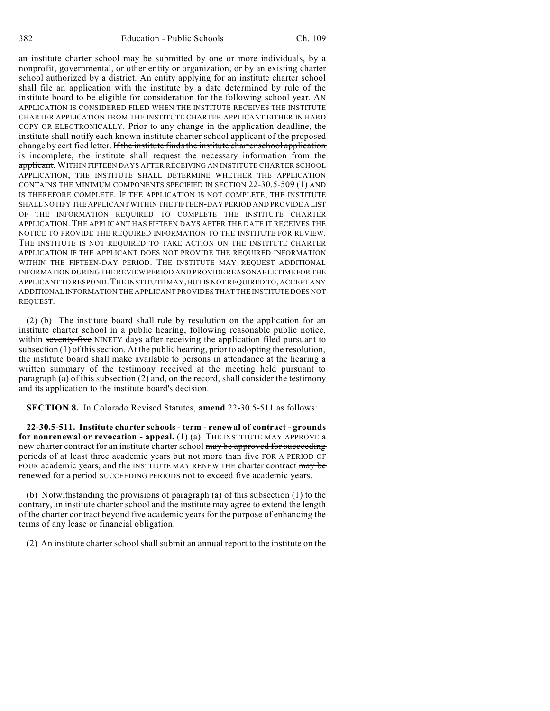an institute charter school may be submitted by one or more individuals, by a nonprofit, governmental, or other entity or organization, or by an existing charter school authorized by a district. An entity applying for an institute charter school shall file an application with the institute by a date determined by rule of the institute board to be eligible for consideration for the following school year. AN APPLICATION IS CONSIDERED FILED WHEN THE INSTITUTE RECEIVES THE INSTITUTE CHARTER APPLICATION FROM THE INSTITUTE CHARTER APPLICANT EITHER IN HARD COPY OR ELECTRONICALLY. Prior to any change in the application deadline, the institute shall notify each known institute charter school applicant of the proposed change by certified letter. If the institute finds the institute charter school application is incomplete, the institute shall request the necessary information from the applicant. WITHIN FIFTEEN DAYS AFTER RECEIVING AN INSTITUTE CHARTER SCHOOL APPLICATION, THE INSTITUTE SHALL DETERMINE WHETHER THE APPLICATION CONTAINS THE MINIMUM COMPONENTS SPECIFIED IN SECTION 22-30.5-509 (1) AND IS THEREFORE COMPLETE. IF THE APPLICATION IS NOT COMPLETE, THE INSTITUTE SHALL NOTIFY THE APPLICANT WITHIN THE FIFTEEN-DAY PERIOD AND PROVIDE A LIST OF THE INFORMATION REQUIRED TO COMPLETE THE INSTITUTE CHARTER APPLICATION. THE APPLICANT HAS FIFTEEN DAYS AFTER THE DATE IT RECEIVES THE NOTICE TO PROVIDE THE REQUIRED INFORMATION TO THE INSTITUTE FOR REVIEW. THE INSTITUTE IS NOT REQUIRED TO TAKE ACTION ON THE INSTITUTE CHARTER APPLICATION IF THE APPLICANT DOES NOT PROVIDE THE REQUIRED INFORMATION WITHIN THE FIFTEEN-DAY PERIOD. THE INSTITUTE MAY REQUEST ADDITIONAL INFORMATION DURING THE REVIEW PERIOD AND PROVIDE REASONABLE TIME FOR THE APPLICANT TO RESPOND. THE INSTITUTE MAY, BUT IS NOT REQUIRED TO, ACCEPT ANY ADDITIONAL INFORMATION THE APPLICANT PROVIDES THAT THE INSTITUTE DOES NOT REQUEST.

(2) (b) The institute board shall rule by resolution on the application for an institute charter school in a public hearing, following reasonable public notice, within seventy-five NINETY days after receiving the application filed pursuant to subsection (1) of this section. At the public hearing, prior to adopting the resolution, the institute board shall make available to persons in attendance at the hearing a written summary of the testimony received at the meeting held pursuant to paragraph (a) of this subsection (2) and, on the record, shall consider the testimony and its application to the institute board's decision.

**SECTION 8.** In Colorado Revised Statutes, **amend** 22-30.5-511 as follows:

**22-30.5-511. Institute charter schools - term - renewal of contract - grounds for nonrenewal or revocation - appeal.** (1) (a) THE INSTITUTE MAY APPROVE a new charter contract for an institute charter school may be approved for succeeding periods of at least three academic years but not more than five FOR A PERIOD OF FOUR academic years, and the INSTITUTE MAY RENEW THE charter contract may be renewed for a period SUCCEEDING PERIODS not to exceed five academic years.

(b) Notwithstanding the provisions of paragraph (a) of this subsection (1) to the contrary, an institute charter school and the institute may agree to extend the length of the charter contract beyond five academic years for the purpose of enhancing the terms of any lease or financial obligation.

(2) An institute charter school shall submit an annual report to the institute on the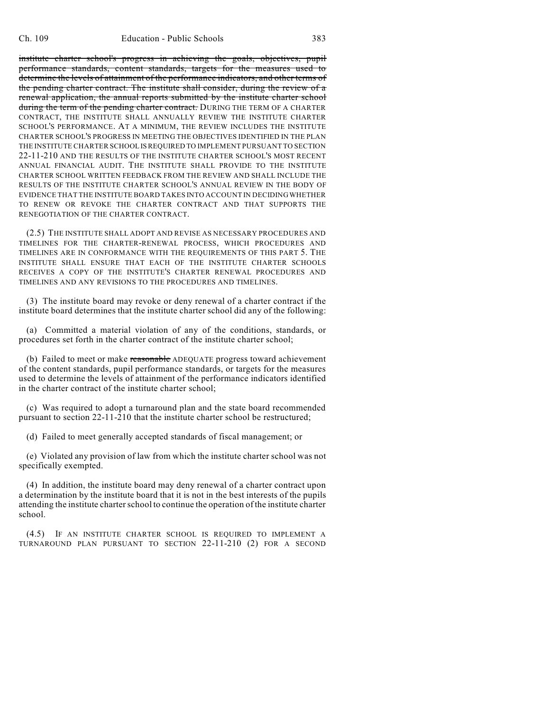institute charter school's progress in achieving the goals, objectives, pupil performance standards, content standards, targets for the measures used to determine the levels of attainment of the performance indicators, and other terms of the pending charter contract. The institute shall consider, during the review of a renewal application, the annual reports submitted by the institute charter school during the term of the pending charter contract. DURING THE TERM OF A CHARTER CONTRACT, THE INSTITUTE SHALL ANNUALLY REVIEW THE INSTITUTE CHARTER SCHOOL'S PERFORMANCE. AT A MINIMUM, THE REVIEW INCLUDES THE INSTITUTE CHARTER SCHOOL'S PROGRESS IN MEETING THE OBJECTIVES IDENTIFIED IN THE PLAN THE INSTITUTE CHARTER SCHOOL ISREQUIRED TO IMPLEMENT PURSUANT TO SECTION 22-11-210 AND THE RESULTS OF THE INSTITUTE CHARTER SCHOOL'S MOST RECENT ANNUAL FINANCIAL AUDIT. THE INSTITUTE SHALL PROVIDE TO THE INSTITUTE CHARTER SCHOOL WRITTEN FEEDBACK FROM THE REVIEW AND SHALL INCLUDE THE RESULTS OF THE INSTITUTE CHARTER SCHOOL'S ANNUAL REVIEW IN THE BODY OF EVIDENCE THAT THE INSTITUTE BOARD TAKES INTO ACCOUNT IN DECIDING WHETHER TO RENEW OR REVOKE THE CHARTER CONTRACT AND THAT SUPPORTS THE RENEGOTIATION OF THE CHARTER CONTRACT.

(2.5) THE INSTITUTE SHALL ADOPT AND REVISE AS NECESSARY PROCEDURES AND TIMELINES FOR THE CHARTER-RENEWAL PROCESS, WHICH PROCEDURES AND TIMELINES ARE IN CONFORMANCE WITH THE REQUIREMENTS OF THIS PART 5. THE INSTITUTE SHALL ENSURE THAT EACH OF THE INSTITUTE CHARTER SCHOOLS RECEIVES A COPY OF THE INSTITUTE'S CHARTER RENEWAL PROCEDURES AND TIMELINES AND ANY REVISIONS TO THE PROCEDURES AND TIMELINES.

(3) The institute board may revoke or deny renewal of a charter contract if the institute board determines that the institute charter school did any of the following:

(a) Committed a material violation of any of the conditions, standards, or procedures set forth in the charter contract of the institute charter school;

(b) Failed to meet or make reasonable ADEQUATE progress toward achievement of the content standards, pupil performance standards, or targets for the measures used to determine the levels of attainment of the performance indicators identified in the charter contract of the institute charter school;

(c) Was required to adopt a turnaround plan and the state board recommended pursuant to section 22-11-210 that the institute charter school be restructured;

(d) Failed to meet generally accepted standards of fiscal management; or

(e) Violated any provision of law from which the institute charter school was not specifically exempted.

(4) In addition, the institute board may deny renewal of a charter contract upon a determination by the institute board that it is not in the best interests of the pupils attending the institute charter school to continue the operation of the institute charter school.

(4.5) IF AN INSTITUTE CHARTER SCHOOL IS REQUIRED TO IMPLEMENT A TURNAROUND PLAN PURSUANT TO SECTION 22-11-210 (2) FOR A SECOND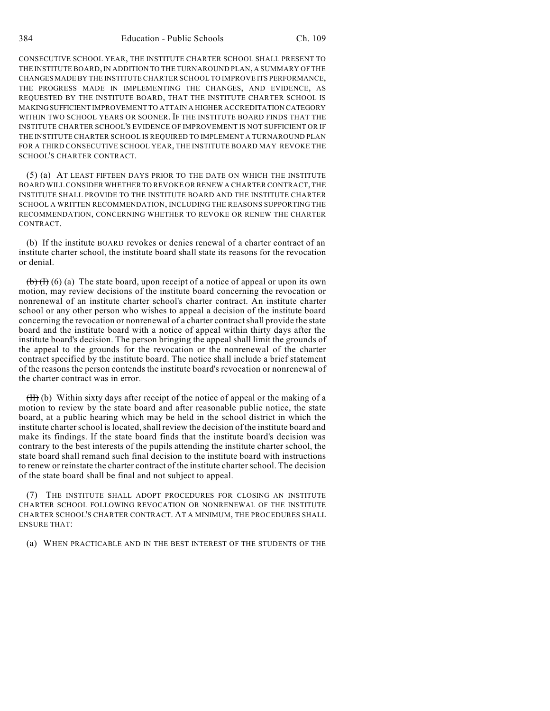CONSECUTIVE SCHOOL YEAR, THE INSTITUTE CHARTER SCHOOL SHALL PRESENT TO THE INSTITUTE BOARD, IN ADDITION TO THE TURNAROUND PLAN, A SUMMARY OF THE CHANGES MADE BY THE INSTITUTE CHARTER SCHOOL TO IMPROVE ITS PERFORMANCE, THE PROGRESS MADE IN IMPLEMENTING THE CHANGES, AND EVIDENCE, AS REQUESTED BY THE INSTITUTE BOARD, THAT THE INSTITUTE CHARTER SCHOOL IS MAKINGSUFFICIENT IMPROVEMENT TO ATTAIN A HIGHER ACCREDITATION CATEGORY WITHIN TWO SCHOOL YEARS OR SOONER. IF THE INSTITUTE BOARD FINDS THAT THE INSTITUTE CHARTER SCHOOL'S EVIDENCE OF IMPROVEMENT IS NOT SUFFICIENT OR IF THE INSTITUTE CHARTER SCHOOL IS REQUIRED TO IMPLEMENT A TURNAROUND PLAN FOR A THIRD CONSECUTIVE SCHOOL YEAR, THE INSTITUTE BOARD MAY REVOKE THE SCHOOL'S CHARTER CONTRACT.

(5) (a) AT LEAST FIFTEEN DAYS PRIOR TO THE DATE ON WHICH THE INSTITUTE BOARD WILL CONSIDER WHETHER TO REVOKE OR RENEW A CHARTER CONTRACT, THE INSTITUTE SHALL PROVIDE TO THE INSTITUTE BOARD AND THE INSTITUTE CHARTER SCHOOL A WRITTEN RECOMMENDATION, INCLUDING THE REASONS SUPPORTING THE RECOMMENDATION, CONCERNING WHETHER TO REVOKE OR RENEW THE CHARTER CONTRACT.

(b) If the institute BOARD revokes or denies renewal of a charter contract of an institute charter school, the institute board shall state its reasons for the revocation or denial.

 $(b)$  (b) (c) (a) The state board, upon receipt of a notice of appeal or upon its own motion, may review decisions of the institute board concerning the revocation or nonrenewal of an institute charter school's charter contract. An institute charter school or any other person who wishes to appeal a decision of the institute board concerning the revocation or nonrenewal of a charter contract shall provide the state board and the institute board with a notice of appeal within thirty days after the institute board's decision. The person bringing the appeal shall limit the grounds of the appeal to the grounds for the revocation or the nonrenewal of the charter contract specified by the institute board. The notice shall include a brief statement of the reasons the person contends the institute board's revocation or nonrenewal of the charter contract was in error.

 $(H)$  (b) Within sixty days after receipt of the notice of appeal or the making of a motion to review by the state board and after reasonable public notice, the state board, at a public hearing which may be held in the school district in which the institute charter school is located, shall review the decision of the institute board and make its findings. If the state board finds that the institute board's decision was contrary to the best interests of the pupils attending the institute charter school, the state board shall remand such final decision to the institute board with instructions to renew or reinstate the charter contract of the institute charter school. The decision of the state board shall be final and not subject to appeal.

(7) THE INSTITUTE SHALL ADOPT PROCEDURES FOR CLOSING AN INSTITUTE CHARTER SCHOOL FOLLOWING REVOCATION OR NONRENEWAL OF THE INSTITUTE CHARTER SCHOOL'S CHARTER CONTRACT. AT A MINIMUM, THE PROCEDURES SHALL ENSURE THAT:

(a) WHEN PRACTICABLE AND IN THE BEST INTEREST OF THE STUDENTS OF THE